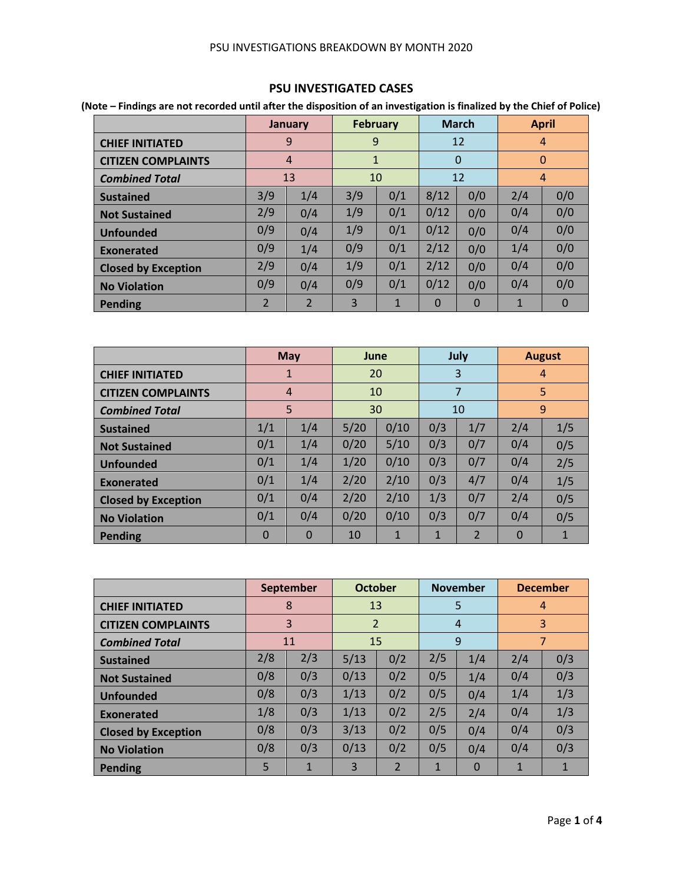#### PSU INVESTIGATIONS BREAKDOWN BY MONTH 2020

## **PSU INVESTIGATED CASES**

**(Note – Findings are not recorded until after the disposition of an investigation is finalized by the Chief of Police)**

|                            |     | <b>January</b> |              | <b>February</b> |          | <b>March</b> |     | <b>April</b>   |
|----------------------------|-----|----------------|--------------|-----------------|----------|--------------|-----|----------------|
| <b>CHIEF INITIATED</b>     |     | 9              | 9            |                 |          | 12           |     | $\overline{4}$ |
| <b>CITIZEN COMPLAINTS</b>  |     | $\overline{4}$ | $\mathbf{1}$ |                 |          | $\Omega$     |     | $\mathbf{0}$   |
| <b>Combined Total</b>      |     | 13             |              | 10              |          | 12           |     | $\overline{4}$ |
| <b>Sustained</b>           | 3/9 | 1/4            | 3/9          | 0/1             | 8/12     | 0/0          | 2/4 | 0/0            |
| <b>Not Sustained</b>       | 2/9 | 0/4            | 1/9          | 0/1             | 0/12     | 0/0          | 0/4 | 0/0            |
| <b>Unfounded</b>           | 0/9 | 0/4            | 1/9          | 0/1             | 0/12     | 0/0          | 0/4 | 0/0            |
| Exonerated                 | 0/9 | 1/4            | 0/9          | 0/1             | 2/12     | 0/0          | 1/4 | 0/0            |
| <b>Closed by Exception</b> | 2/9 | 0/4            | 1/9          | 0/1             | 2/12     | 0/0          | 0/4 | 0/0            |
| <b>No Violation</b>        | 0/9 | 0/4            | 0/9          | 0/1             | 0/12     | 0/0          | 0/4 | 0/0            |
| <b>Pending</b>             | 2   | $\overline{2}$ | 3            | 1               | $\Omega$ | $\Omega$     | 1   | $\Omega$       |

|                            |          | <b>May</b>  | June |              |              | July           |          | <b>August</b>  |
|----------------------------|----------|-------------|------|--------------|--------------|----------------|----------|----------------|
| <b>CHIEF INITIATED</b>     |          | 1           | 20   |              |              | 3              |          | $\overline{4}$ |
| <b>CITIZEN COMPLAINTS</b>  |          | 4           | 10   |              |              | 7              |          | 5              |
| <b>Combined Total</b>      |          | 5           | 30   |              |              | 10             |          | 9              |
| <b>Sustained</b>           | 1/1      | 1/4         | 5/20 | 0/10         | 0/3          | 1/7            | 2/4      | 1/5            |
| <b>Not Sustained</b>       | 0/1      | 1/4         | 0/20 | 5/10         | 0/3          | 0/7            | 0/4      | 0/5            |
| <b>Unfounded</b>           | 0/1      | 1/4         | 1/20 | 0/10         | 0/3          | 0/7            | 0/4      | 2/5            |
| Exonerated                 | 0/1      | 1/4         | 2/20 | 2/10         | 0/3          | 4/7            | 0/4      | 1/5            |
| <b>Closed by Exception</b> | 0/1      | 0/4         | 2/20 | 2/10         | 1/3          | 0/7            | 2/4      | 0/5            |
| <b>No Violation</b>        | 0/1      | 0/4         | 0/20 | 0/10         | 0/3          | 0/7            | 0/4      | 0/5            |
| Pending                    | $\Omega$ | $\mathbf 0$ | 10   | $\mathbf{1}$ | $\mathbf{1}$ | $\overline{2}$ | $\Omega$ | $\mathbf{1}$   |

|                            |     | <b>September</b> | <b>October</b> |                |              | <b>November</b> |     | <b>December</b> |
|----------------------------|-----|------------------|----------------|----------------|--------------|-----------------|-----|-----------------|
| <b>CHIEF INITIATED</b>     |     | 8                | 13             |                |              | 5               |     | 4               |
| <b>CITIZEN COMPLAINTS</b>  |     | 3                | $\overline{2}$ |                |              | $\overline{4}$  |     | 3               |
| <b>Combined Total</b>      |     | 11               | 15             |                |              | 9               |     | 7               |
| <b>Sustained</b>           | 2/8 | 2/3              | 5/13           | 0/2            | 2/5          | 1/4             | 2/4 | 0/3             |
| <b>Not Sustained</b>       | 0/8 | 0/3              | 0/13           | 0/2            | 0/5          | 1/4             | 0/4 | 0/3             |
| <b>Unfounded</b>           | 0/8 | 0/3              | 1/13           | 0/2            | 0/5          | 0/4             | 1/4 | 1/3             |
| <b>Exonerated</b>          | 1/8 | 0/3              | 1/13           | 0/2            | 2/5          | 2/4             | 0/4 | 1/3             |
| <b>Closed by Exception</b> | 0/8 | 0/3              | 3/13           | 0/2            | 0/5          | 0/4             | 0/4 | 0/3             |
| <b>No Violation</b>        | 0/8 | 0/3              | 0/13           | 0/2            | 0/5          | 0/4             | 0/4 | 0/3             |
| <b>Pending</b>             | 5   | 1                | 3              | $\overline{2}$ | $\mathbf{1}$ | $\Omega$        | 1   |                 |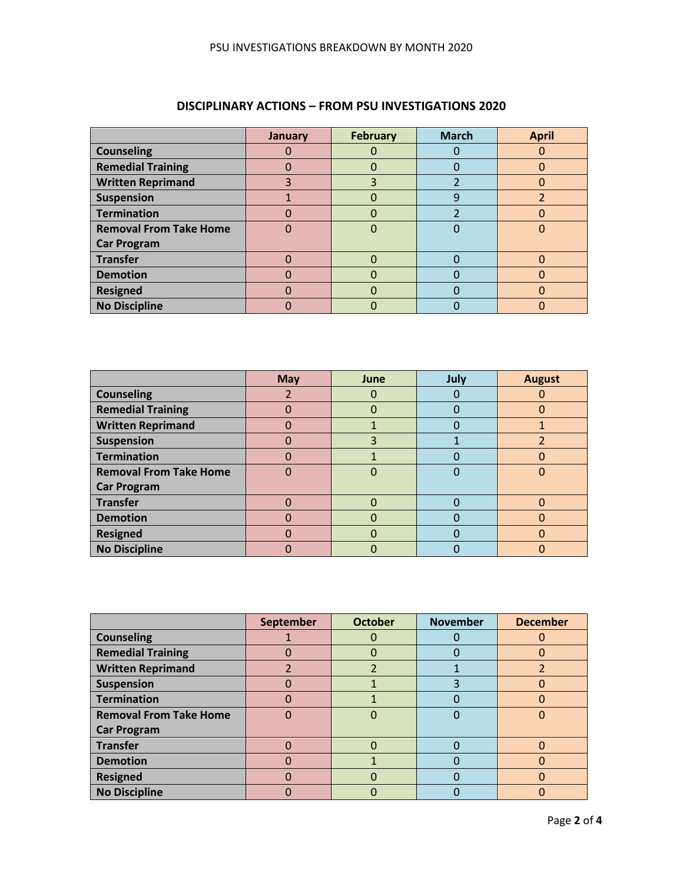|                               | January | <b>February</b> | <b>March</b> | <b>April</b> |
|-------------------------------|---------|-----------------|--------------|--------------|
| <b>Counseling</b>             |         |                 |              |              |
| <b>Remedial Training</b>      |         |                 |              | 0            |
| <b>Written Reprimand</b>      |         | 3               |              |              |
| <b>Suspension</b>             |         |                 | g            |              |
| <b>Termination</b>            |         |                 |              |              |
| <b>Removal From Take Home</b> |         |                 |              |              |
| <b>Car Program</b>            |         |                 |              |              |
| <b>Transfer</b>               |         |                 |              |              |
| <b>Demotion</b>               |         |                 |              |              |
| <b>Resigned</b>               |         |                 |              | ሰ            |
| <b>No Discipline</b>          |         |                 |              |              |

# **DISCIPLINARY ACTIONS – FROM PSU INVESTIGATIONS 2020**

|                               | <b>May</b> | June         | July | <b>August</b> |
|-------------------------------|------------|--------------|------|---------------|
| <b>Counseling</b>             |            |              |      |               |
| <b>Remedial Training</b>      |            | 0            |      |               |
| <b>Written Reprimand</b>      |            |              |      |               |
| <b>Suspension</b>             | 0          | 3            |      |               |
| <b>Termination</b>            | O          |              |      | 0             |
| <b>Removal From Take Home</b> | 0          | O            |      | 0             |
| <b>Car Program</b>            |            |              |      |               |
| <b>Transfer</b>               |            | 0            |      | 0             |
| <b>Demotion</b>               |            | 0            |      |               |
| <b>Resigned</b>               | 0          | $\mathbf{U}$ |      | 0             |
| <b>No Discipline</b>          |            |              |      | n             |

|                               | September | <b>October</b> | <b>November</b> | <b>December</b> |
|-------------------------------|-----------|----------------|-----------------|-----------------|
| <b>Counseling</b>             |           |                |                 |                 |
| <b>Remedial Training</b>      |           | 0              |                 | 0               |
| <b>Written Reprimand</b>      |           |                |                 |                 |
| <b>Suspension</b>             | 0         |                |                 | 0               |
| <b>Termination</b>            |           |                |                 |                 |
| <b>Removal From Take Home</b> |           |                |                 |                 |
| <b>Car Program</b>            |           |                |                 |                 |
| <b>Transfer</b>               |           |                |                 |                 |
| <b>Demotion</b>               |           |                |                 |                 |
| <b>Resigned</b>               | Ω         |                |                 | O               |
| <b>No Discipline</b>          |           |                |                 |                 |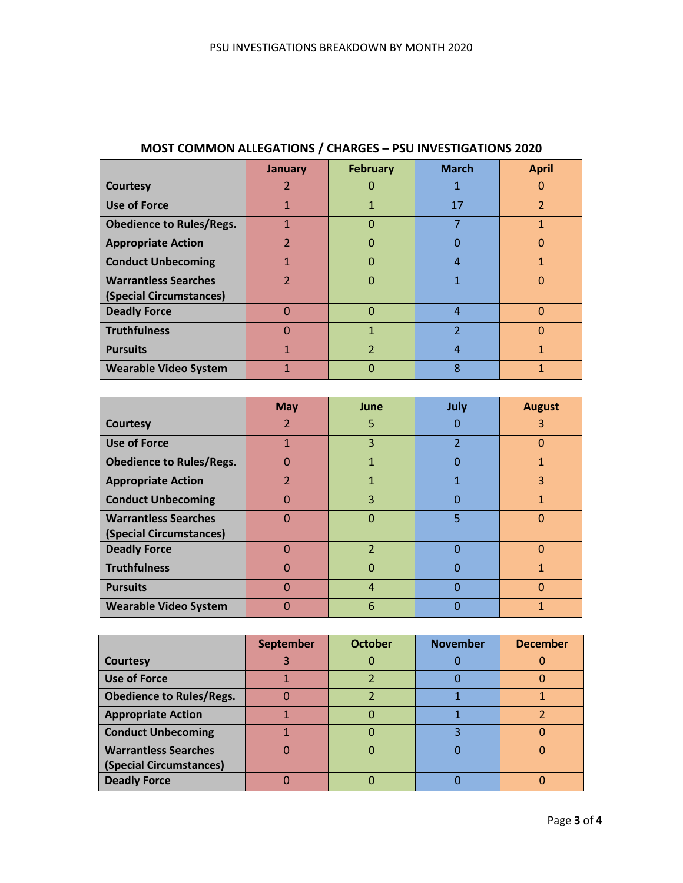|                                 | January        | <b>February</b>          | <b>March</b>             | <b>April</b>             |
|---------------------------------|----------------|--------------------------|--------------------------|--------------------------|
| <b>Courtesy</b>                 | 2              |                          | 1                        | 0                        |
| <b>Use of Force</b>             | 1              |                          | 17                       | $\overline{\mathcal{L}}$ |
| <b>Obedience to Rules/Regs.</b> | 1              | ი                        | 7                        | 1                        |
| <b>Appropriate Action</b>       | $\overline{2}$ | $\Omega$                 | $\Omega$                 | $\overline{0}$           |
| <b>Conduct Unbecoming</b>       | 1              | 0                        | $\overline{4}$           | 1                        |
| <b>Warrantless Searches</b>     | $\mathcal{P}$  | O                        | 1                        | $\Omega$                 |
| (Special Circumstances)         |                |                          |                          |                          |
| <b>Deadly Force</b>             | 0              | ი                        | $\overline{4}$           | $\Omega$                 |
| <b>Truthfulness</b>             | 0              | 1                        | $\overline{\phantom{a}}$ | $\Omega$                 |
| <b>Pursuits</b>                 |                | $\overline{\phantom{a}}$ | 4                        | 1                        |
| <b>Wearable Video System</b>    |                | Ω                        | 8                        |                          |

## **MOST COMMON ALLEGATIONS / CHARGES – PSU INVESTIGATIONS 2020**

|                                 | <b>May</b>               | June                     | July           | <b>August</b> |
|---------------------------------|--------------------------|--------------------------|----------------|---------------|
| <b>Courtesy</b>                 | $\overline{\mathcal{L}}$ | 5                        | O              | 3             |
| <b>Use of Force</b>             | 1                        | 3                        | $\overline{2}$ | $\Omega$      |
| <b>Obedience to Rules/Regs.</b> | $\Omega$                 | 1                        | 0              | 1             |
| <b>Appropriate Action</b>       | $\overline{\mathcal{L}}$ | $\mathbf{1}$             | 1              | 3             |
| <b>Conduct Unbecoming</b>       | $\Omega$                 | 3                        | $\Omega$       | 1             |
| <b>Warrantless Searches</b>     | $\Omega$                 | 0                        | 5              | $\Omega$      |
| (Special Circumstances)         |                          |                          |                |               |
| <b>Deadly Force</b>             | $\Omega$                 | $\overline{\phantom{a}}$ | 0              | $\Omega$      |
| <b>Truthfulness</b>             | $\Omega$                 | $\Omega$                 | 0              | 1             |
| <b>Pursuits</b>                 | $\Omega$                 | 4                        | ი              | 0             |
| <b>Wearable Video System</b>    | $\Omega$                 | 6                        | O              | 1             |

|                                 | <b>September</b> | <b>October</b> | <b>November</b> | <b>December</b> |
|---------------------------------|------------------|----------------|-----------------|-----------------|
| Courtesy                        |                  |                |                 |                 |
| <b>Use of Force</b>             |                  |                |                 |                 |
| <b>Obedience to Rules/Regs.</b> |                  |                |                 |                 |
| <b>Appropriate Action</b>       |                  |                |                 |                 |
| <b>Conduct Unbecoming</b>       |                  |                |                 |                 |
| <b>Warrantless Searches</b>     |                  |                |                 |                 |
| (Special Circumstances)         |                  |                |                 |                 |
| <b>Deadly Force</b>             |                  |                |                 |                 |